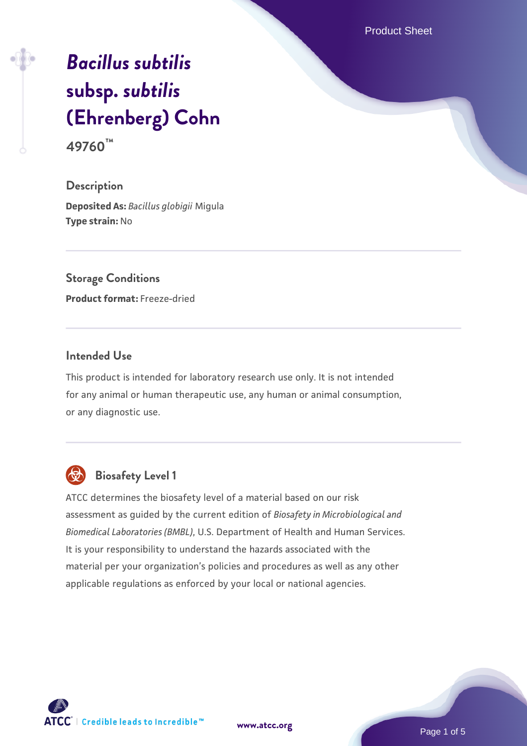Product Sheet

# *[Bacillus subtilis](https://www.atcc.org/products/49760)* **[subsp.](https://www.atcc.org/products/49760)** *[subtilis](https://www.atcc.org/products/49760)* **[\(Ehrenberg\) Cohn](https://www.atcc.org/products/49760) 49760™**

**Description Deposited As:** *Bacillus globigii* Migula **Type strain:** No

**Storage Conditions Product format:** Freeze-dried

#### **Intended Use**

This product is intended for laboratory research use only. It is not intended for any animal or human therapeutic use, any human or animal consumption, or any diagnostic use.



# **Biosafety Level 1**

ATCC determines the biosafety level of a material based on our risk assessment as guided by the current edition of *Biosafety in Microbiological and Biomedical Laboratories (BMBL)*, U.S. Department of Health and Human Services. It is your responsibility to understand the hazards associated with the material per your organization's policies and procedures as well as any other applicable regulations as enforced by your local or national agencies.



**[www.atcc.org](http://www.atcc.org)**

Page 1 of 5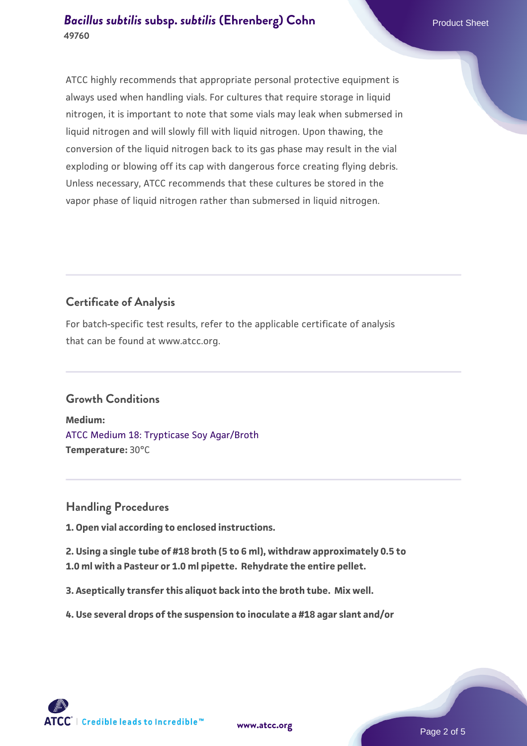ATCC highly recommends that appropriate personal protective equipment is always used when handling vials. For cultures that require storage in liquid nitrogen, it is important to note that some vials may leak when submersed in liquid nitrogen and will slowly fill with liquid nitrogen. Upon thawing, the conversion of the liquid nitrogen back to its gas phase may result in the vial exploding or blowing off its cap with dangerous force creating flying debris. Unless necessary, ATCC recommends that these cultures be stored in the vapor phase of liquid nitrogen rather than submersed in liquid nitrogen.

# **Certificate of Analysis**

For batch-specific test results, refer to the applicable certificate of analysis that can be found at www.atcc.org.

## **Growth Conditions**

**Medium:**  [ATCC Medium 18: Trypticase Soy Agar/Broth](https://www.atcc.org/-/media/product-assets/documents/microbial-media-formulations/1/8/atcc-medium-18.pdf?rev=832846e1425841f19fc70569848edae7) **Temperature:** 30°C

## **Handling Procedures**

**1. Open vial according to enclosed instructions.**

**2. Using a single tube of #18 broth (5 to 6 ml), withdraw approximately 0.5 to 1.0 ml with a Pasteur or 1.0 ml pipette. Rehydrate the entire pellet.**

**3. Aseptically transfer this aliquot back into the broth tube. Mix well.**

**4. Use several drops of the suspension to inoculate a #18 agar slant and/or**

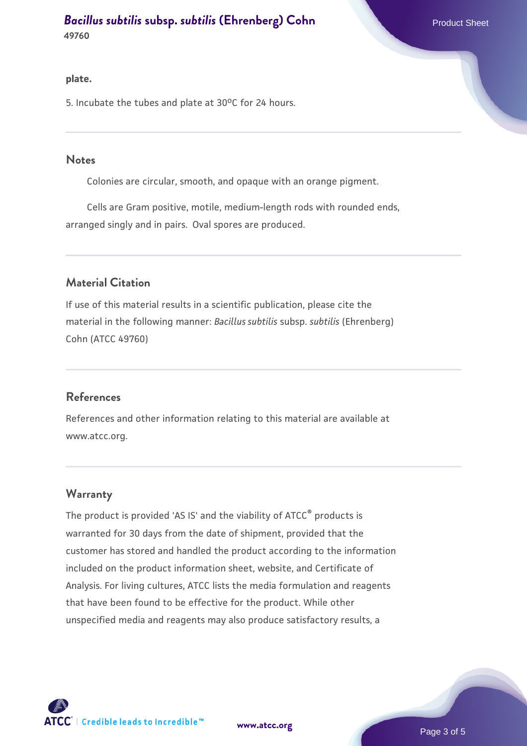#### **plate.**

5. Incubate the tubes and plate at 30°C for 24 hours.

#### **Notes**

Colonies are circular, smooth, and opaque with an orange pigment.

 Cells are Gram positive, motile, medium-length rods with rounded ends, arranged singly and in pairs. Oval spores are produced.

#### **Material Citation**

If use of this material results in a scientific publication, please cite the material in the following manner: *Bacillus subtilis* subsp. *subtilis* (Ehrenberg) Cohn (ATCC 49760)

#### **References**

References and other information relating to this material are available at www.atcc.org.

#### **Warranty**

The product is provided 'AS IS' and the viability of ATCC<sup>®</sup> products is warranted for 30 days from the date of shipment, provided that the customer has stored and handled the product according to the information included on the product information sheet, website, and Certificate of Analysis. For living cultures, ATCC lists the media formulation and reagents that have been found to be effective for the product. While other unspecified media and reagents may also produce satisfactory results, a



**[www.atcc.org](http://www.atcc.org)**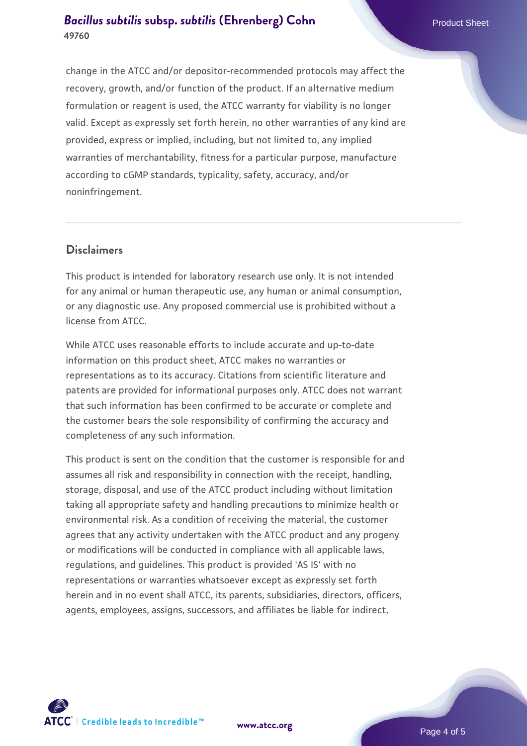change in the ATCC and/or depositor-recommended protocols may affect the recovery, growth, and/or function of the product. If an alternative medium formulation or reagent is used, the ATCC warranty for viability is no longer valid. Except as expressly set forth herein, no other warranties of any kind are provided, express or implied, including, but not limited to, any implied warranties of merchantability, fitness for a particular purpose, manufacture according to cGMP standards, typicality, safety, accuracy, and/or noninfringement.

#### **Disclaimers**

This product is intended for laboratory research use only. It is not intended for any animal or human therapeutic use, any human or animal consumption, or any diagnostic use. Any proposed commercial use is prohibited without a license from ATCC.

While ATCC uses reasonable efforts to include accurate and up-to-date information on this product sheet, ATCC makes no warranties or representations as to its accuracy. Citations from scientific literature and patents are provided for informational purposes only. ATCC does not warrant that such information has been confirmed to be accurate or complete and the customer bears the sole responsibility of confirming the accuracy and completeness of any such information.

This product is sent on the condition that the customer is responsible for and assumes all risk and responsibility in connection with the receipt, handling, storage, disposal, and use of the ATCC product including without limitation taking all appropriate safety and handling precautions to minimize health or environmental risk. As a condition of receiving the material, the customer agrees that any activity undertaken with the ATCC product and any progeny or modifications will be conducted in compliance with all applicable laws, regulations, and guidelines. This product is provided 'AS IS' with no representations or warranties whatsoever except as expressly set forth herein and in no event shall ATCC, its parents, subsidiaries, directors, officers, agents, employees, assigns, successors, and affiliates be liable for indirect,



**[www.atcc.org](http://www.atcc.org)**

Page 4 of 5